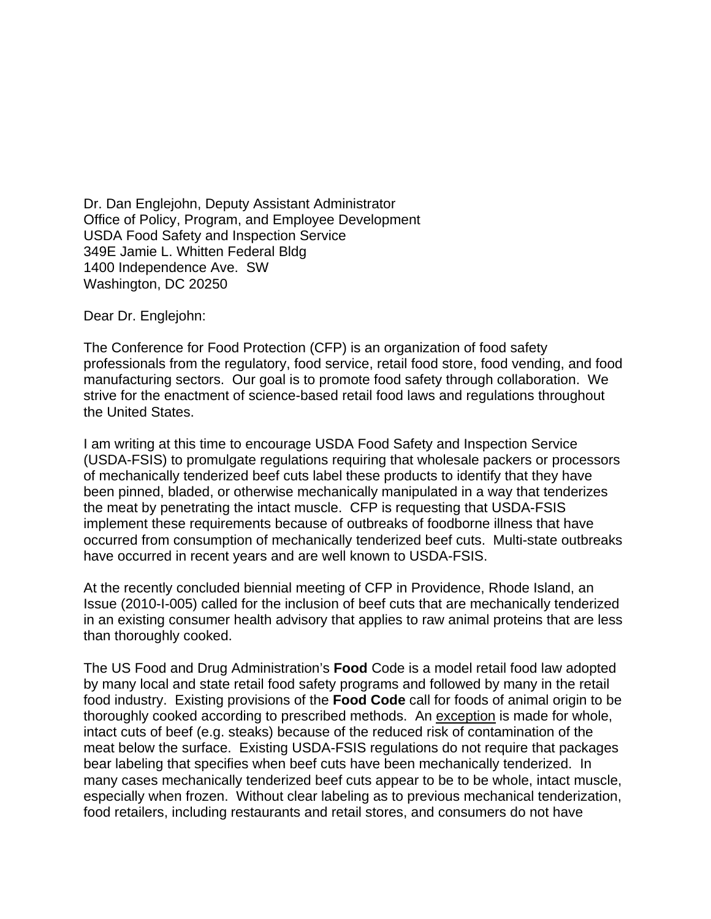Dr. Dan Englejohn, Deputy Assistant Administrator Office of Policy, Program, and Employee Development USDA Food Safety and Inspection Service 349E Jamie L. Whitten Federal Bldg 1400 Independence Ave. SW Washington, DC 20250

Dear Dr. Englejohn:

The Conference for Food Protection (CFP) is an organization of food safety professionals from the regulatory, food service, retail food store, food vending, and food manufacturing sectors. Our goal is to promote food safety through collaboration. We strive for the enactment of science-based retail food laws and regulations throughout the United States.

I am writing at this time to encourage USDA Food Safety and Inspection Service (USDA-FSIS) to promulgate regulations requiring that wholesale packers or processors of mechanically tenderized beef cuts label these products to identify that they have been pinned, bladed, or otherwise mechanically manipulated in a way that tenderizes the meat by penetrating the intact muscle. CFP is requesting that USDA-FSIS implement these requirements because of outbreaks of foodborne illness that have occurred from consumption of mechanically tenderized beef cuts. Multi-state outbreaks have occurred in recent years and are well known to USDA-FSIS.

At the recently concluded biennial meeting of CFP in Providence, Rhode Island, an Issue (2010-I-005) called for the inclusion of beef cuts that are mechanically tenderized in an existing consumer health advisory that applies to raw animal proteins that are less than thoroughly cooked.

The US Food and Drug Administration's **Food** Code is a model retail food law adopted by many local and state retail food safety programs and followed by many in the retail food industry. Existing provisions of the **Food Code** call for foods of animal origin to be thoroughly cooked according to prescribed methods. An exception is made for whole, intact cuts of beef (e.g. steaks) because of the reduced risk of contamination of the meat below the surface. Existing USDA-FSIS regulations do not require that packages bear labeling that specifies when beef cuts have been mechanically tenderized. In many cases mechanically tenderized beef cuts appear to be to be whole, intact muscle, especially when frozen. Without clear labeling as to previous mechanical tenderization, food retailers, including restaurants and retail stores, and consumers do not have